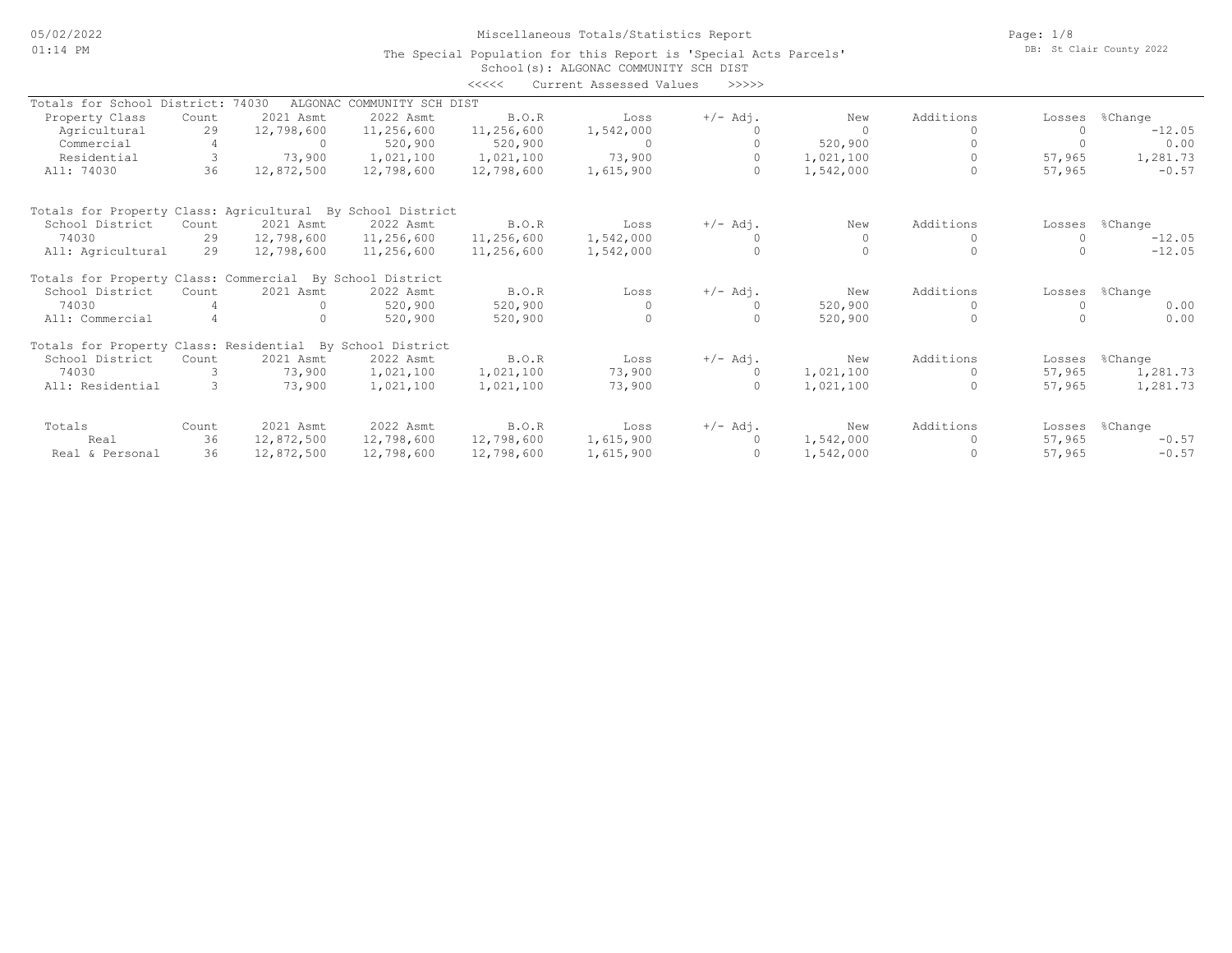Page: 1/8 DB: St Clair County 2022

#### School(s): ALGONAC COMMUNITY SCH DIST The Special Population for this Report is 'Special Acts Parcels'

|                                                            |       |            |                            | <<<<       | Current Assessed Values | >>>>>      |           |           |           |          |
|------------------------------------------------------------|-------|------------|----------------------------|------------|-------------------------|------------|-----------|-----------|-----------|----------|
| Totals for School District:                                |       | 74030      | ALGONAC COMMUNITY SCH DIST |            |                         |            |           |           |           |          |
| Property Class                                             | Count | 2021 Asmt  | 2022 Asmt                  | B.O.R      | Loss                    | $+/-$ Adj. | New       | Additions | Losses    | %Change  |
| Agricultural                                               | 29    | 12,798,600 | 11,256,600                 | 11,256,600 | 1,542,000               |            | $\Omega$  |           |           | $-12.05$ |
| Commercial                                                 |       | $\Omega$   | 520,900                    | 520,900    | $\Omega$                | $\Omega$   | 520,900   |           | $\bigcap$ | 0.00     |
| Residential                                                |       | 73,900     | 1,021,100                  | 1,021,100  | 73,900                  | $\circ$    | 1,021,100 |           | 57,965    | 1,281.73 |
| All: 74030                                                 | 36    | 12,872,500 | 12,798,600                 | 12,798,600 | 1,615,900               | $\Omega$   | 1,542,000 |           | 57,965    | $-0.57$  |
| Totals for Property Class: Agricultural By School District |       |            |                            |            |                         |            |           |           |           |          |
| School District                                            | Count | 2021 Asmt  | 2022 Asmt                  | B.O.R      | Loss                    | $+/-$ Adj. | New       | Additions | Losses    | %Change  |
| 74030                                                      | 29    | 12,798,600 | 11,256,600                 | 11,256,600 | 1,542,000               |            | $\Omega$  |           |           | $-12.05$ |
| All: Agricultural                                          | 29    | 12,798,600 | 11,256,600                 | 11,256,600 | 1,542,000               | $\circ$    | $\Omega$  |           |           | $-12.05$ |
| Totals for Property Class: Commercial By                   |       |            | School District            |            |                         |            |           |           |           |          |
| School District                                            | Count | 2021 Asmt  | 2022 Asmt                  | B.O.R      | Loss                    | $+/-$ Adj. | New       | Additions | Losses    | %Change  |
| 74030                                                      |       | $\Omega$   | 520,900                    | 520,900    | $\Omega$                | $\Omega$   | 520,900   |           |           | 0.00     |
| All: Commercial                                            |       | $\Omega$   | 520,900                    | 520,900    | $\Omega$                | $\cap$     | 520,900   | $\Omega$  |           | 0.00     |
| Totals for Property Class: Residential By School District  |       |            |                            |            |                         |            |           |           |           |          |
| School District                                            | Count | 2021 Asmt  | 2022 Asmt                  | B.O.R      | Loss                    | $+/-$ Adj. | New       | Additions | Losses    | %Change  |
| 74030                                                      |       | 73,900     | 1,021,100                  | 1,021,100  | 73,900                  | $\circ$    | 1,021,100 | $\circ$   | 57,965    | 1,281.73 |
| All: Residential                                           |       | 73,900     | 1,021,100                  | 1,021,100  | 73,900                  | $\Omega$   | 1,021,100 | $\Omega$  | 57,965    | 1,281.73 |
| Totals                                                     | Count | 2021 Asmt  | 2022 Asmt                  | B.O.R      | Loss                    | $+/-$ Adj. | New       | Additions | Losses    | %Change  |
| Real                                                       | 36    | 12,872,500 | 12,798,600                 | 12,798,600 | 1,615,900               | $\Omega$   | 1,542,000 | $\Omega$  | 57,965    | $-0.57$  |
| Real & Personal                                            | 36    | 12,872,500 | 12,798,600                 | 12,798,600 | 1,615,900               | $\circ$    | 1,542,000 |           | 57,965    | $-0.57$  |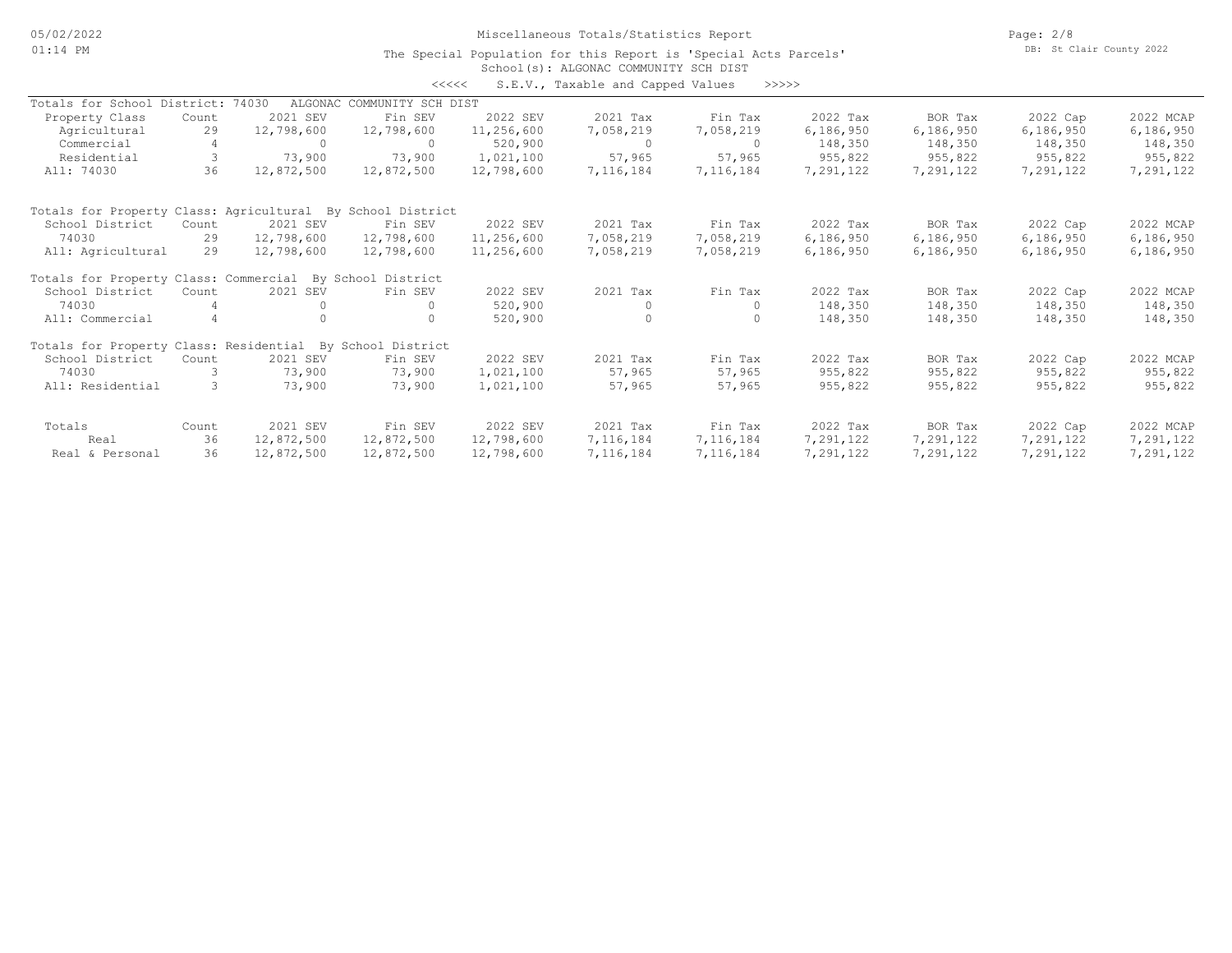Page: 2/8 DB: St Clair County 2022

#### School(s): ALGONAC COMMUNITY SCH DIST The Special Population for this Report is 'Special Acts Parcels'

<<<<< S.E.V., Taxable and Capped Values >>>>>

|                                                            |                |            |                            |            | U.S., Tananic and capped values |           |           |           |           |           |
|------------------------------------------------------------|----------------|------------|----------------------------|------------|---------------------------------|-----------|-----------|-----------|-----------|-----------|
| Totals for School District:                                |                | 74030      | ALGONAC COMMUNITY SCH DIST |            |                                 |           |           |           |           |           |
| Property Class                                             | Count          | 2021 SEV   | Fin SEV                    | 2022 SEV   | 2021 Tax                        | Fin Tax   | 2022 Tax  | BOR Tax   | 2022 Cap  | 2022 MCAP |
| Agricultural                                               | 29             | 12,798,600 | 12,798,600                 | 11,256,600 | 7,058,219                       | 7,058,219 | 6,186,950 | 6,186,950 | 6,186,950 | 6,186,950 |
| Commercial                                                 |                | $\Omega$   | $\Omega$                   | 520,900    | $\circ$                         | $\Omega$  | 148,350   | 148,350   | 148,350   | 148,350   |
| Residential                                                | 3              | 73,900     | 73,900                     | 1,021,100  | 57,965                          | 57,965    | 955,822   | 955,822   | 955,822   | 955,822   |
| All: 74030                                                 | 36             | 12,872,500 | 12,872,500                 | 12,798,600 | 7,116,184                       | 7,116,184 | 7,291,122 | 7,291,122 | 7,291,122 | 7,291,122 |
| Totals for Property Class: Agricultural By School District |                |            |                            |            |                                 |           |           |           |           |           |
| School District                                            | Count          | 2021 SEV   | Fin SEV                    | 2022 SEV   | 2021 Tax                        | Fin Tax   | 2022 Tax  | BOR Tax   | 2022 Cap  | 2022 MCAP |
| 74030                                                      | 29             | 12,798,600 | 12,798,600                 | 11,256,600 | 7,058,219                       | 7,058,219 | 6,186,950 | 6,186,950 | 6,186,950 | 6,186,950 |
| All: Agricultural                                          | 29             | 12,798,600 | 12,798,600                 | 11,256,600 | 7,058,219                       | 7,058,219 | 6,186,950 | 6,186,950 | 6,186,950 | 6,186,950 |
| Totals for Property Class: Commercial                      |                |            | By School District         |            |                                 |           |           |           |           |           |
| School District                                            | Count          | 2021 SEV   | Fin SEV                    | 2022 SEV   | 2021 Tax                        | Fin Tax   | 2022 Tax  | BOR Tax   | 2022 Cap  | 2022 MCAP |
| 74030                                                      |                | $\Omega$   | $\Omega$                   | 520,900    | $\circ$                         | 0         | 148,350   | 148,350   | 148,350   | 148,350   |
| All: Commercial                                            | $\overline{4}$ | $\cap$     | $\Omega$                   | 520,900    | $\Omega$                        | $\Omega$  | 148,350   | 148,350   | 148,350   | 148,350   |
| Totals for Property Class: Residential By School District  |                |            |                            |            |                                 |           |           |           |           |           |
| School District                                            | Count          | 2021 SEV   | Fin SEV                    | 2022 SEV   | 2021 Tax                        | Fin Tax   | 2022 Tax  | BOR Tax   | 2022 Cap  | 2022 MCAP |
| 74030                                                      |                | 73,900     | 73,900                     | 1,021,100  | 57,965                          | 57,965    | 955,822   | 955,822   | 955,822   | 955,822   |
| All: Residential                                           | 3              | 73,900     | 73,900                     | 1,021,100  | 57,965                          | 57,965    | 955,822   | 955,822   | 955,822   | 955,822   |
| Totals                                                     | Count          | 2021 SEV   | Fin SEV                    | 2022 SEV   | 2021 Tax                        | Fin Tax   | 2022 Tax  | BOR Tax   | 2022 Cap  | 2022 MCAP |
| Real                                                       | 36             | 12,872,500 | 12,872,500                 | 12,798,600 | 7,116,184                       | 7,116,184 | 7,291,122 | 7,291,122 | 7,291,122 | 7,291,122 |
| Real & Personal                                            | 36             | 12,872,500 | 12,872,500                 | 12,798,600 | 7,116,184                       | 7,116,184 | 7,291,122 | 7,291,122 | 7,291,122 | 7,291,122 |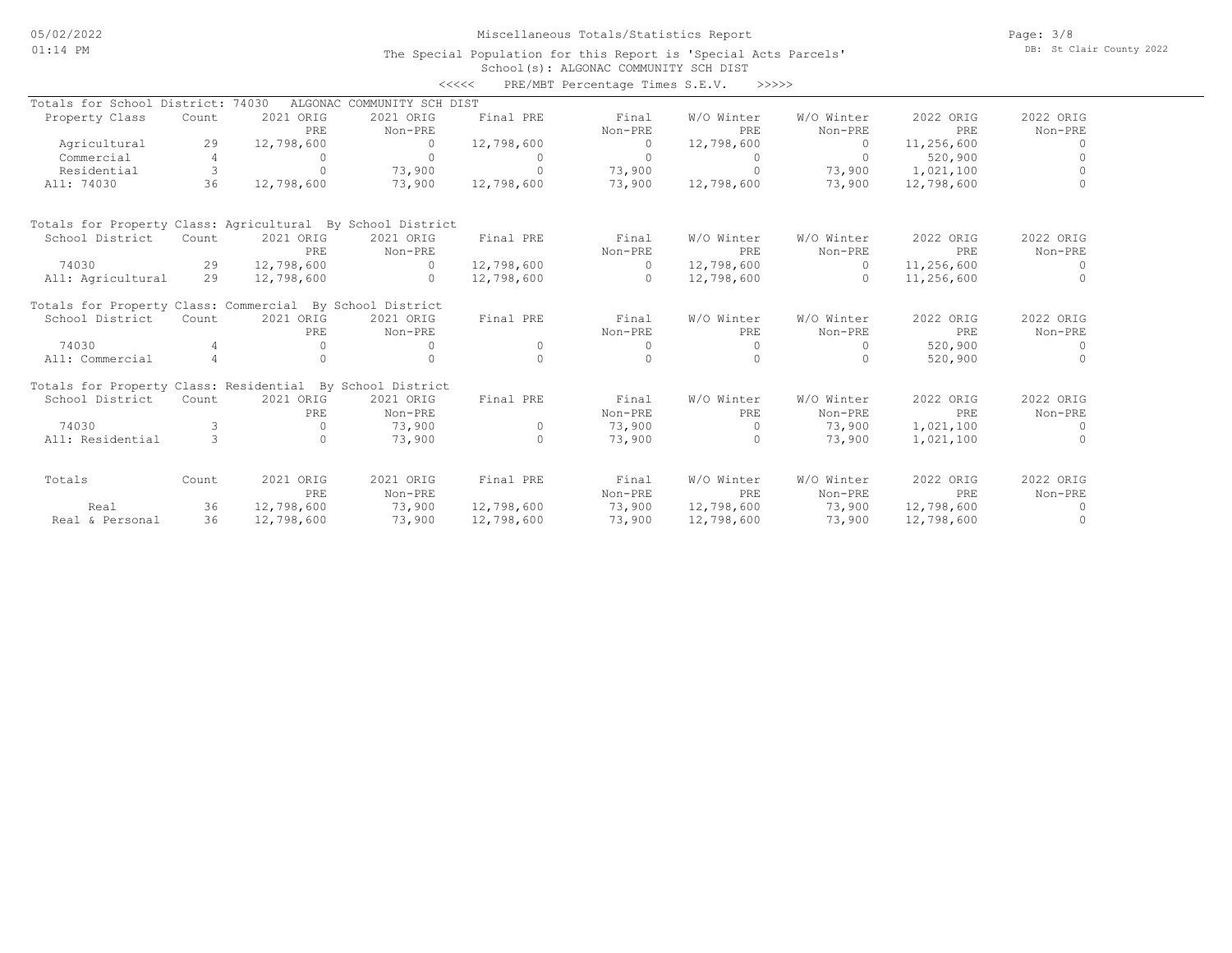Page: 3/8 DB: St Clair County 2022

#### School(s): ALGONAC COMMUNITY SCH DIST The Special Population for this Report is 'Special Acts Parcels'

|                                                            |                |                  |                            | <<<<       | PRE/MBT Percentage Times S.E.V. | >>>>>                    |                       |                  |                      |
|------------------------------------------------------------|----------------|------------------|----------------------------|------------|---------------------------------|--------------------------|-----------------------|------------------|----------------------|
| Totals for School District: 74030                          |                |                  | ALGONAC COMMUNITY SCH DIST |            |                                 |                          |                       |                  |                      |
| Property Class                                             | Count          | 2021 ORIG<br>PRE | 2021 ORIG<br>Non-PRE       | Final PRE  | Final<br>Non-PRE                | W/O Winter<br><b>PRE</b> | W/O Winter<br>Non-PRE | 2022 ORIG<br>PRE | 2022 ORIG<br>Non-PRE |
| Agricultural                                               | 29             | 12,798,600       | $\circ$                    | 12,798,600 | $\Omega$                        | 12,798,600               | $\Omega$              | 11,256,600       | 0                    |
| Commercial                                                 | 4              | $\Omega$         | $\Omega$                   | $\Omega$   | $\Omega$                        | $\Omega$                 | $\Omega$              | 520,900          |                      |
| Residential                                                | 3              | $\Omega$         | 73,900                     | $\Omega$   | 73,900                          | $\Omega$                 | 73,900                | 1,021,100        |                      |
| All: 74030                                                 | 36             | 12,798,600       | 73,900                     | 12,798,600 | 73,900                          | 12,798,600               | 73,900                | 12,798,600       |                      |
| Totals for Property Class: Agricultural By School District |                |                  |                            |            |                                 |                          |                       |                  |                      |
| School District                                            | Count          | 2021 ORIG        | 2021 ORIG                  | Final PRE  | Final                           | W/O Winter               | W/O Winter            | 2022 ORIG        | 2022 ORIG            |
|                                                            |                | PRE              | Non-PRE                    |            | Non-PRE                         | PRE                      | Non-PRE               | PRE              | Non-PRE              |
| 74030                                                      | 29             | 12,798,600       | $\Omega$                   | 12,798,600 | $\Omega$                        | 12,798,600               | $\Omega$              | 11,256,600       | $\circ$              |
| All: Agricultural                                          | 29             | 12,798,600       | $\Omega$                   | 12,798,600 | $\circ$                         | 12,798,600               | $\Omega$              | 11,256,600       | $\mathbf 0$          |
| Totals for Property Class: Commercial By School District   |                |                  |                            |            |                                 |                          |                       |                  |                      |
| School District                                            | Count          | 2021 ORIG        | 2021 ORIG                  | Final PRE  | Final                           | W/O Winter               | W/O Winter            | 2022 ORIG        | 2022 ORIG            |
|                                                            |                | PRE              | Non-PRE                    |            | Non-PRE                         | PRE                      | Non-PRE               | PRE              | Non-PRE              |
| 74030                                                      | 4              | $\Omega$         | $\Omega$                   | $\Omega$   | $\Omega$                        | $\circ$                  | $\Omega$              | 520,900          | 0                    |
| All: Commercial                                            | $\overline{4}$ |                  | $\Omega$                   | $\Omega$   | $\Omega$                        | $\Omega$                 | $\Omega$              | 520,900          | 0                    |
| Totals for Property Class: Residential By School District  |                |                  |                            |            |                                 |                          |                       |                  |                      |
| School District                                            | Count          | 2021 ORIG        | 2021 ORIG                  | Final PRE  | Final                           | W/O Winter               | W/O Winter            | 2022 ORIG        | 2022 ORIG            |
|                                                            |                | PRE              | Non-PRE                    |            | Non-PRE                         | PRE                      | Non-PRE               | PRE              | Non-PRE              |
| 74030                                                      | 3              | $\Omega$         | 73,900                     | $\circ$    | 73,900                          | $\circ$                  | 73,900                | 1,021,100        | $\mathbf 0$          |
| All: Residential                                           | $\mathcal{L}$  | $\Omega$         | 73,900                     | $\Omega$   | 73,900                          | $\bigcap$                | 73,900                | 1,021,100        | 0                    |
| Totals                                                     | Count          | 2021 ORIG        | 2021 ORIG                  | Final PRE  | Final                           | W/O Winter               | W/O Winter            | 2022 ORIG        | 2022 ORIG            |
|                                                            |                | PRE              | Non-PRE                    |            | Non-PRE                         | PRE                      | Non-PRE               | PRE              | Non-PRE              |
| Real                                                       | 36             | 12,798,600       | 73,900                     | 12,798,600 | 73,900                          | 12,798,600               | 73,900                | 12,798,600       | 0                    |
| Real & Personal                                            | 36             | 12,798,600       | 73,900                     | 12,798,600 | 73,900                          | 12,798,600               | 73,900                | 12,798,600       | $\circ$              |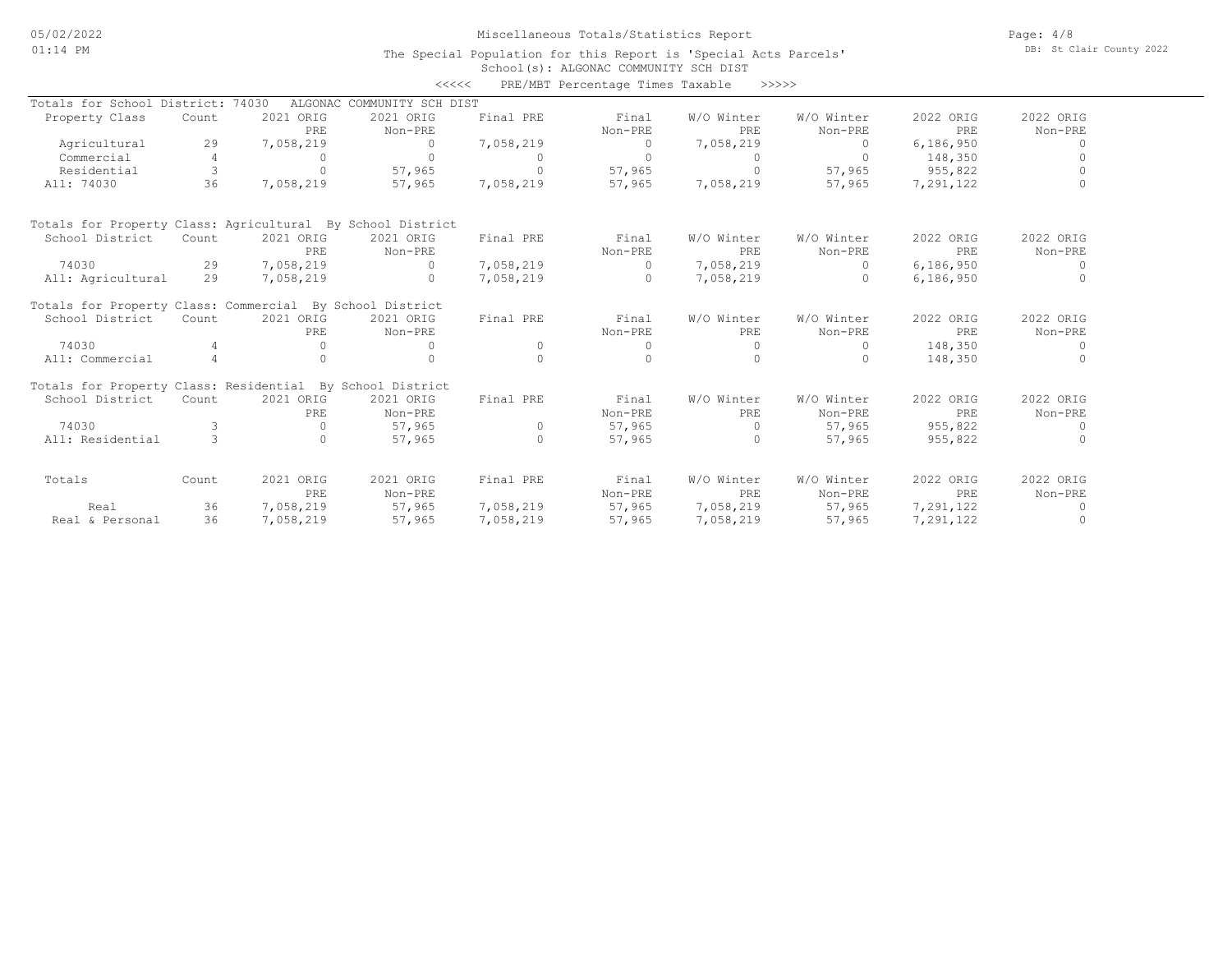Page: 4/8 DB: St Clair County 2022

#### School(s): ALGONAC COMMUNITY SCH DIST The Special Population for this Report is 'Special Acts Parcels'

|                                                            |                |                  | <<<<                       |           | PRE/MBT Percentage Times Taxable |                   | >>>>>                 |                  |                      |
|------------------------------------------------------------|----------------|------------------|----------------------------|-----------|----------------------------------|-------------------|-----------------------|------------------|----------------------|
| Totals for School District: 74030                          |                |                  | ALGONAC COMMUNITY SCH DIST |           |                                  |                   |                       |                  |                      |
| Property Class                                             | Count          | 2021 ORIG<br>PRE | 2021 ORIG<br>Non-PRE       | Final PRE | Final<br>Non-PRE                 | W/O Winter<br>PRE | W/O Winter<br>Non-PRE | 2022 ORIG<br>PRE | 2022 ORIG<br>Non-PRE |
| Agricultural                                               | 29             | 7,058,219        | $\Omega$                   | 7,058,219 | $\Omega$                         | 7,058,219         | $\Omega$              | 6,186,950        | $\Omega$             |
| Commercial                                                 | 4              | $\Omega$         | $\Omega$                   |           | $\Omega$                         | $\Omega$          | $\Omega$              | 148,350          | $\cap$               |
| Residential                                                | 3              | $\Omega$         | 57,965                     | $\Omega$  | 57,965                           | $\Omega$          | 57,965                | 955,822          |                      |
| All: 74030                                                 | 36             | 7,058,219        | 57,965                     | 7,058,219 | 57,965                           | 7,058,219         | 57,965                | 7,291,122        | $\Omega$             |
| Totals for Property Class: Agricultural By School District |                |                  |                            |           |                                  |                   |                       |                  |                      |
| School District                                            | Count          | 2021 ORIG        | 2021 ORIG                  | Final PRE | Final                            | W/O Winter        | W/O Winter            | 2022 ORIG        | 2022 ORIG            |
|                                                            |                | PRE              | Non-PRE                    |           | Non-PRE                          | PRE               | Non-PRE               | PRE              | Non-PRE              |
| 74030                                                      | 29             | 7,058,219        | $\Omega$                   | 7,058,219 | $\Omega$                         | 7,058,219         | $\Omega$              | 6,186,950        | $\Omega$             |
| All: Agricultural                                          | 29             | 7,058,219        | $\Omega$                   | 7,058,219 | $\bigcap$                        | 7,058,219         | $\bigcap$             | 6,186,950        | $\Omega$             |
| Totals for Property Class: Commercial By School District   |                |                  |                            |           |                                  |                   |                       |                  |                      |
| School District                                            | Count          | 2021 ORIG        | 2021 ORIG                  | Final PRE | Final                            | W/O Winter        | W/O Winter            | 2022 ORIG        | 2022 ORIG            |
|                                                            |                | PRE              | Non-PRE                    |           | Non-PRE                          | PRE               | Non-PRE               | PRE              | Non-PRE              |
| 74030                                                      |                | $\Omega$         | $\Omega$                   | $\Omega$  | $\Omega$                         | $\mathbf{0}$      | $\Omega$              | 148,350          | $\Omega$             |
| All: Commercial                                            | $\overline{4}$ | $\Omega$         | $\bigcap$                  | $\cap$    | $\Omega$                         | $\Omega$          | $\Omega$              | 148,350          |                      |
| Totals for Property Class: Residential By School District  |                |                  |                            |           |                                  |                   |                       |                  |                      |
| School District                                            | Count          | 2021 ORIG        | 2021 ORIG                  | Final PRE | Final                            | W/O Winter        | W/O Winter            | 2022 ORIG        | 2022 ORIG            |
|                                                            |                | PRE              | Non-PRE                    |           | Non-PRE                          | PRE               | Non-PRE               | PRE              | Non-PRE              |
| 74030                                                      | 3              | $\Omega$         | 57,965                     | $\circ$   | 57,965                           | $\Omega$          | 57,965                | 955,822          | $\Omega$             |
| All: Residential                                           | $\mathcal{L}$  | $\Omega$         | 57,965                     | $\Omega$  | 57,965                           | $\Omega$          | 57,965                | 955,822          | $\cap$               |
| Totals                                                     | Count          | 2021 ORIG        | 2021 ORIG                  | Final PRE | Final                            | W/O Winter        | W/O Winter            | 2022 ORIG        | 2022 ORIG            |
|                                                            |                | PRE              | Non-PRE                    |           | Non-PRE                          | PRE               | Non-PRE               | PRE              | Non-PRE              |
| Real                                                       | 36             | 7,058,219        | 57,965                     | 7,058,219 | 57,965                           | 7,058,219         | 57,965                | 7,291,122        | $\Omega$             |
| Real & Personal                                            | 36             | 7,058,219        | 57,965                     | 7,058,219 | 57,965                           | 7,058,219         | 57,965                | 7,291,122        | $\cap$               |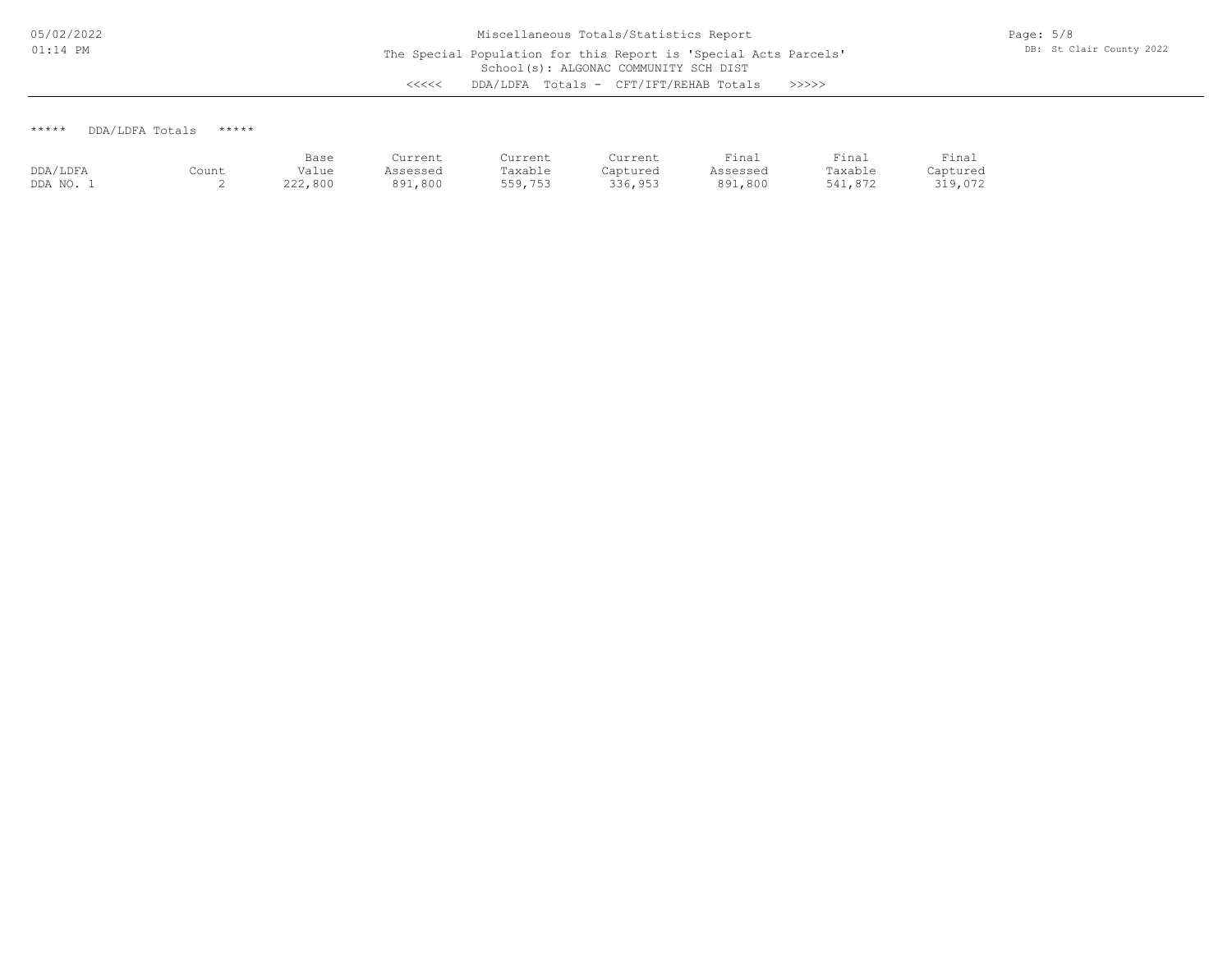### \*\*\*\*\* DDA/LDFA Totals \*\*\*\*\*

|          |       | Base    | Current  | Current | Current  | Final    | Final   | Final    |
|----------|-------|---------|----------|---------|----------|----------|---------|----------|
| DDA/LDFA | Count | Value   | Assessed | Taxable | Captured | Assessed | Taxable | Captured |
| DDA NO.  | ∼     | 222,800 | 891,800  | 559,753 | 336,953  | 891,800  | 541,872 | 319,072  |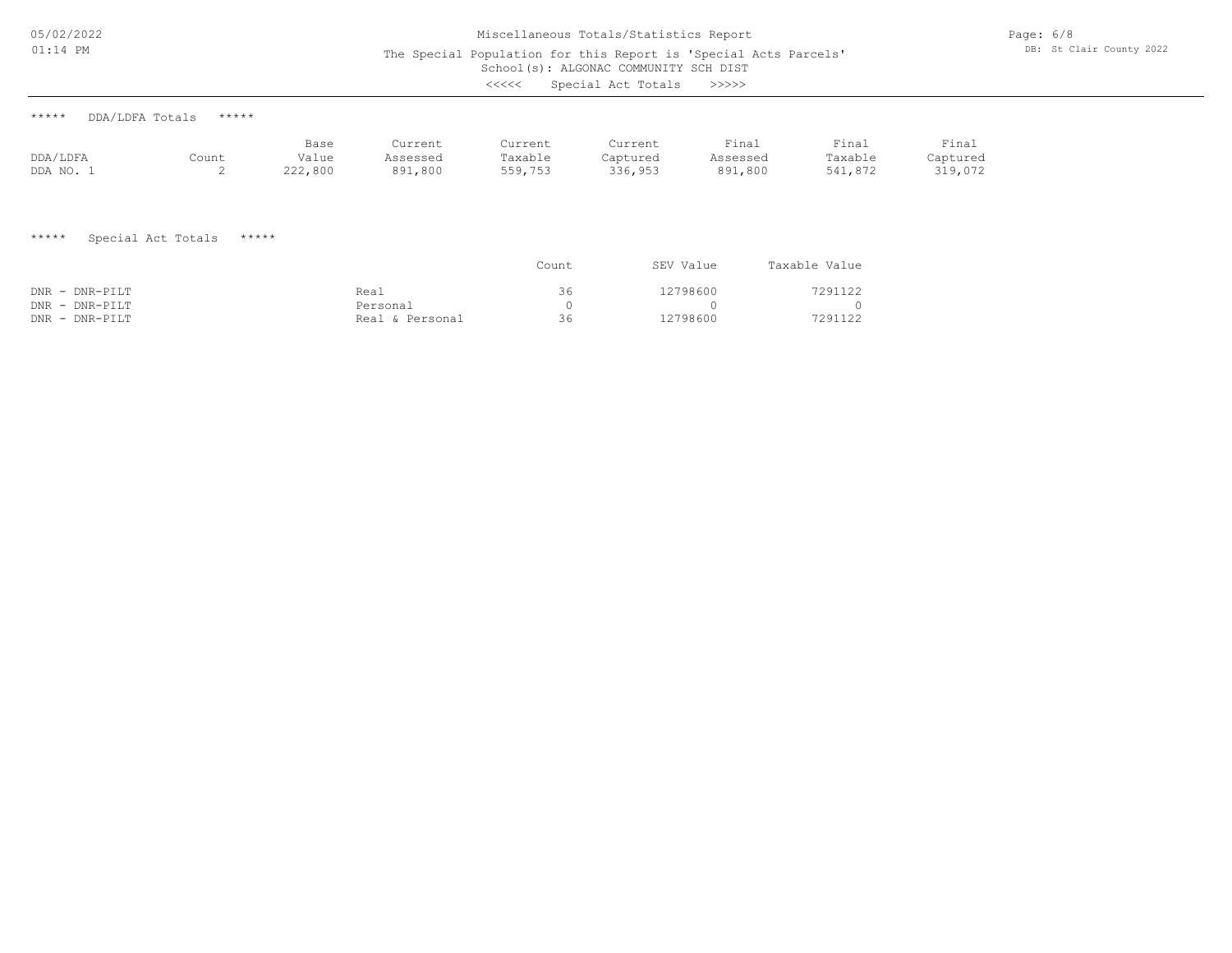05/02/2022 01:14 PM

## School(s): ALGONAC COMMUNITY SCH DIST Miscellaneous Totals/Statistics Report The Special Population for this Report is 'Special Acts Parcels'

| THE SPECIAL LOPAIREIGH LOL SHIS REPOLE IS SPECIAL HERE LALCOIS<br>School (s): ALGONAC COMMUNITY SCH DIST<br>Special Act Totals<br>くくくくく<br>>>>>>> |                          |                          |                                     |                               |                                |                                      |                                |                              |  |  |
|---------------------------------------------------------------------------------------------------------------------------------------------------|--------------------------|--------------------------|-------------------------------------|-------------------------------|--------------------------------|--------------------------------------|--------------------------------|------------------------------|--|--|
| *****                                                                                                                                             | *****<br>DDA/LDFA Totals |                          |                                     |                               |                                |                                      |                                |                              |  |  |
| DDA/LDFA<br>DDA NO. 1                                                                                                                             | Count<br>2               | Base<br>Value<br>222,800 | Current<br>Assessed<br>891,800      | Current<br>Taxable<br>559,753 | Current<br>Captured<br>336,953 | Final<br>Assessed<br>891,800         | Final<br>Taxable<br>541,872    | Final<br>Captured<br>319,072 |  |  |
| $***$ * * * *                                                                                                                                     | Special Act Totals       | *****                    |                                     | Count                         |                                | SEV Value                            | Taxable Value                  |                              |  |  |
| DNR - DNR-PILT<br>DNR - DNR-PILT<br>DNR - DNR-PILT                                                                                                |                          |                          | Real<br>Personal<br>Real & Personal | 36<br>$\circ$<br>36           |                                | 12798600<br>$\mathbf{0}$<br>12798600 | 7291122<br>$\Omega$<br>7291122 |                              |  |  |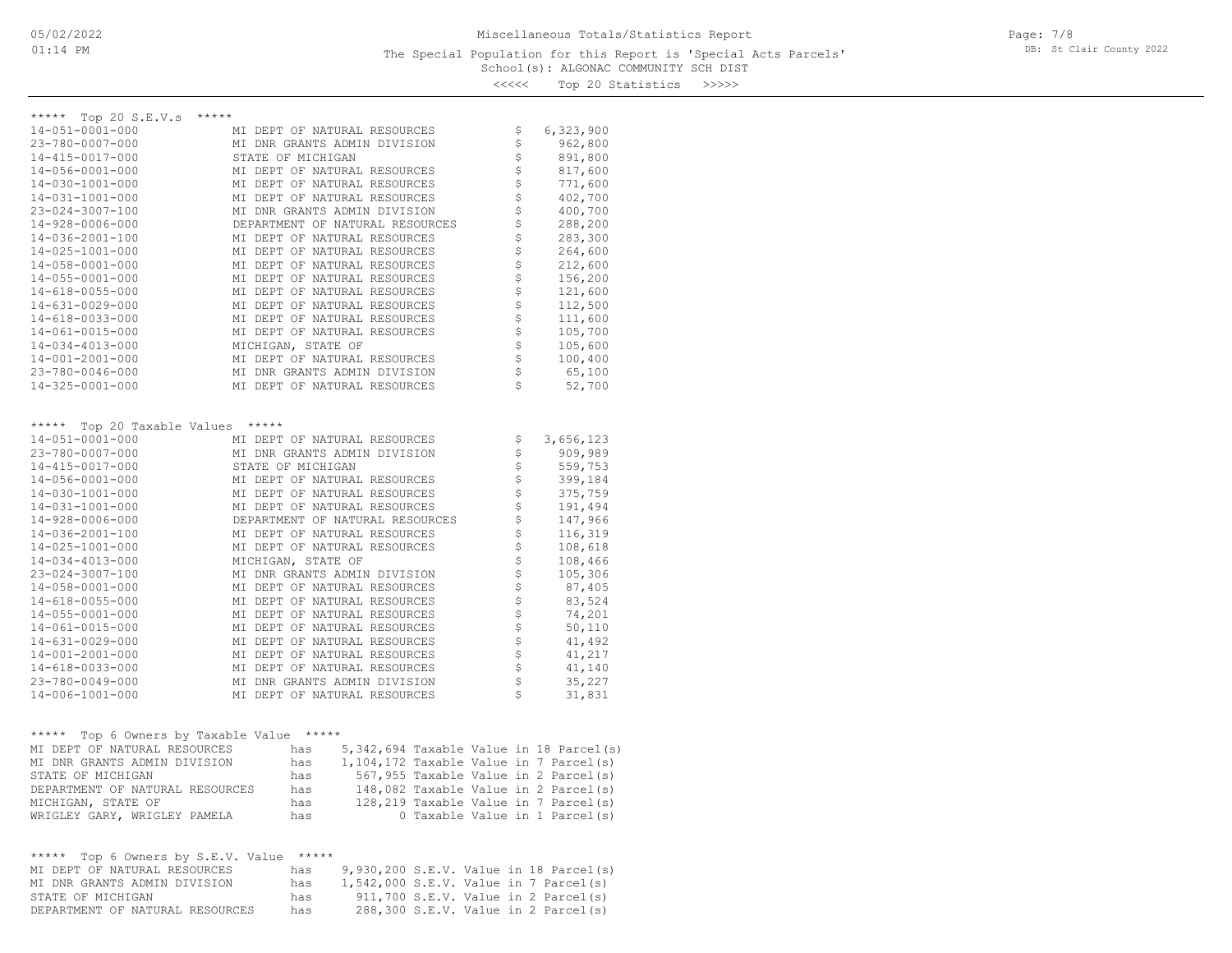| くくくくく |  |  | Top 20 Statistics | >>>>> |
|-------|--|--|-------------------|-------|
|-------|--|--|-------------------|-------|

| Top 20 S.E.V.s *****<br>*****               |                    |          |                                        |                                       |                                |                                           |
|---------------------------------------------|--------------------|----------|----------------------------------------|---------------------------------------|--------------------------------|-------------------------------------------|
| 14-051-0001-000                             |                    |          | MI DEPT OF NATURAL RESOURCES           |                                       | \$                             | 6,323,900                                 |
| 23-780-0007-000                             |                    |          | MI DNR GRANTS ADMIN DIVISION           |                                       | \$                             | 962,800                                   |
| 14-415-0017-000                             | STATE OF MICHIGAN  |          |                                        |                                       | \$                             | 891,800                                   |
| 14-056-0001-000                             |                    |          | MI DEPT OF NATURAL RESOURCES           |                                       | \$                             | 817,600                                   |
| 14-030-1001-000                             |                    |          | MI DEPT OF NATURAL RESOURCES           |                                       | \$                             | 771,600                                   |
| 14-031-1001-000                             |                    |          | MI DEPT OF NATURAL RESOURCES           |                                       | \$                             | 402,700                                   |
| 23-024-3007-100                             |                    |          | MI DNR GRANTS ADMIN DIVISION           |                                       | \$                             | 400,700                                   |
| $14 - 928 - 0006 - 000$                     |                    |          | DEPARTMENT OF NATURAL RESOURCES        |                                       | \$                             | 288,200                                   |
| 14-036-2001-100                             |                    |          | MI DEPT OF NATURAL RESOURCES           |                                       | \$                             | 283,300                                   |
| 14-025-1001-000                             |                    |          | MI DEPT OF NATURAL RESOURCES           |                                       | \$                             | 264,600                                   |
|                                             |                    |          |                                        |                                       |                                |                                           |
| 14-058-0001-000                             |                    |          | MI DEPT OF NATURAL RESOURCES           |                                       | \$                             | 212,600                                   |
| 14-055-0001-000                             |                    |          | MI DEPT OF NATURAL RESOURCES           |                                       | $\boldsymbol{\dot{\varsigma}}$ | 156,200                                   |
| 14-618-0055-000                             |                    |          | MI DEPT OF NATURAL RESOURCES           |                                       | \$                             | 121,600                                   |
| $14 - 631 - 0029 - 000$                     |                    |          | MI DEPT OF NATURAL RESOURCES           |                                       | \$                             | 112,500                                   |
| 14-618-0033-000                             |                    |          | MI DEPT OF NATURAL RESOURCES           |                                       | \$                             | 111,600                                   |
| 14-061-0015-000                             |                    |          | MI DEPT OF NATURAL RESOURCES           |                                       | $\boldsymbol{\dot{\varsigma}}$ | 105,700                                   |
| 14-034-4013-000                             | MICHIGAN, STATE OF |          |                                        |                                       | $\boldsymbol{\dot{\varsigma}}$ | 105,600                                   |
| 14-001-2001-000                             |                    |          | MI DEPT OF NATURAL RESOURCES           |                                       | \$                             | 100,400                                   |
| 23-780-0046-000                             |                    |          | MI DNR GRANTS ADMIN DIVISION           |                                       | \$                             | 65,100                                    |
| 14-325-0001-000                             |                    |          | MI DEPT OF NATURAL RESOURCES           |                                       | \$                             | 52,700                                    |
|                                             |                    |          |                                        |                                       |                                |                                           |
|                                             |                    |          |                                        |                                       |                                |                                           |
| ***** Top 20 Taxable Values *****           |                    |          |                                        |                                       |                                |                                           |
| 14-051-0001-000                             |                    |          | MI DEPT OF NATURAL RESOURCES           |                                       | \$                             | 3,656,123                                 |
| 23-780-0007-000                             |                    |          | MI DNR GRANTS ADMIN DIVISION           |                                       | $\updownarrow$                 | 909,989                                   |
| 14-415-0017-000                             | STATE OF MICHIGAN  |          |                                        |                                       | \$                             | 559,753                                   |
| 14-056-0001-000                             |                    |          | MI DEPT OF NATURAL RESOURCES           |                                       | \$                             | 399,184                                   |
| 14-030-1001-000                             |                    |          | MI DEPT OF NATURAL RESOURCES           |                                       | \$                             | 375,759                                   |
| 14-031-1001-000                             |                    |          | MI DEPT OF NATURAL RESOURCES           |                                       | \$                             | 191,494                                   |
| $14 - 928 - 0006 - 000$                     |                    |          | DEPARTMENT OF NATURAL RESOURCES        |                                       | \$                             | 147,966                                   |
| 14-036-2001-100                             |                    |          | MI DEPT OF NATURAL RESOURCES           |                                       | \$                             | 116,319                                   |
| 14-025-1001-000                             |                    |          | MI DEPT OF NATURAL RESOURCES           |                                       | $\boldsymbol{\dot{\varsigma}}$ | 108,618                                   |
|                                             |                    |          |                                        |                                       | \$                             |                                           |
| 14-034-4013-000                             | MICHIGAN, STATE OF |          |                                        |                                       | \$                             | 108,466                                   |
| 23-024-3007-100                             |                    |          | MI DNR GRANTS ADMIN DIVISION           |                                       |                                | 105,306                                   |
| 14-058-0001-000                             |                    |          | MI DEPT OF NATURAL RESOURCES           |                                       | \$                             | 87,405                                    |
| 14-618-0055-000                             |                    |          | MI DEPT OF NATURAL RESOURCES           |                                       | \$                             | 83,524                                    |
| 14-055-0001-000                             |                    |          | MI DEPT OF NATURAL RESOURCES           |                                       | \$                             | 74,201                                    |
| 14-061-0015-000                             |                    |          | MI DEPT OF NATURAL RESOURCES           |                                       | \$                             | 50,110                                    |
| $14 - 631 - 0029 - 000$                     |                    |          | MI DEPT OF NATURAL RESOURCES           |                                       | \$                             | 41,492                                    |
| 14-001-2001-000                             |                    |          | MI DEPT OF NATURAL RESOURCES           |                                       | \$                             | 41,217                                    |
| 14-618-0033-000                             |                    |          | MI DEPT OF NATURAL RESOURCES           |                                       | \$                             | 41,140                                    |
| 23-780-0049-000                             |                    |          | MI DNR GRANTS ADMIN DIVISION           |                                       | \$                             | 35,227                                    |
| 14-006-1001-000                             |                    |          | MI DEPT OF NATURAL RESOURCES           |                                       | \$                             | 31,831                                    |
|                                             |                    |          |                                        |                                       |                                |                                           |
|                                             |                    | $******$ |                                        |                                       |                                |                                           |
| Top 6 Owners by Taxable Value<br>*****      |                    |          |                                        |                                       |                                |                                           |
| MI DEPT OF NATURAL RESOURCES                |                    | has      |                                        |                                       |                                | 5, 342, 694 Taxable Value in 18 Parcel(s) |
| MI DNR GRANTS ADMIN DIVISION                |                    | has      | 1,104,172 Taxable Value in 7 Parcel(s) |                                       |                                |                                           |
| STATE OF MICHIGAN                           |                    | has      |                                        | 567,955 Taxable Value in 2 Parcel(s)  |                                |                                           |
| DEPARTMENT OF NATURAL RESOURCES             |                    | has      |                                        | 148,082 Taxable Value in 2 Parcel(s)  |                                |                                           |
| MICHIGAN, STATE OF                          |                    | has      |                                        | 128, 219 Taxable Value in 7 Parcel(s) |                                |                                           |
| WRIGLEY GARY, WRIGLEY PAMELA                |                    | has      |                                        | 0 Taxable Value in 1 Parcel(s)        |                                |                                           |
|                                             |                    |          |                                        |                                       |                                |                                           |
| Top 6 Owners by S.E.V. Value *****<br>***** |                    |          |                                        |                                       |                                |                                           |
| MI DEPT OF NATURAL RESOURCES                |                    | has      | 9,930,200 S.E.V. Value in 18 Parcel(s) |                                       |                                |                                           |
| MI DNR GRANTS ADMIN DIVISION                |                    | has      | 1,542,000 S.E.V. Value in 7 Parcel(s)  |                                       |                                |                                           |
| STATE OF MICHIGAN                           |                    | has      |                                        | 911,700 S.E.V. Value in 2 Parcel(s)   |                                |                                           |
| DEPARTMENT OF NATURAL RESOURCES             |                    | has      |                                        | 288,300 S.E.V. Value in 2 Parcel(s)   |                                |                                           |
|                                             |                    |          |                                        |                                       |                                |                                           |